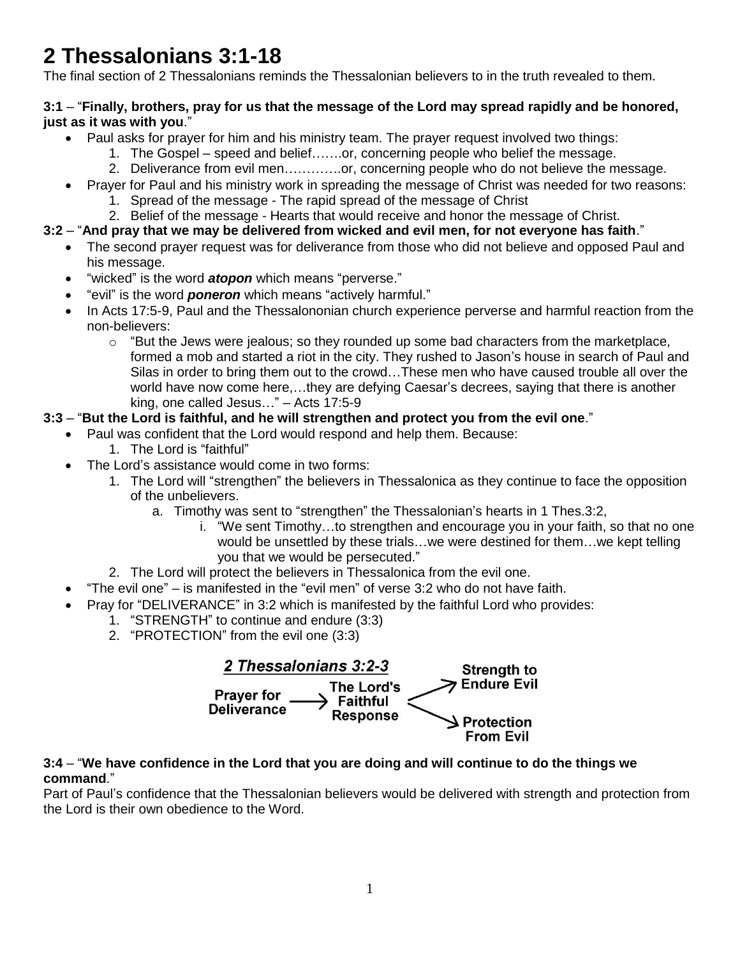# **2 Thessalonians 3:1-18**

The final section of 2 Thessalonians reminds the Thessalonian believers to in the truth revealed to them.

## **3:1** – "**Finally, brothers, pray for us that the message of the Lord may spread rapidly and be honored, just as it was with you**."

- Paul asks for prayer for him and his ministry team. The prayer request involved two things:
	- 1. The Gospel speed and belief…….or, concerning people who belief the message.
	- 2. Deliverance from evil men………….or, concerning people who do not believe the message.
- Prayer for Paul and his ministry work in spreading the message of Christ was needed for two reasons:
	- 1. Spread of the message The rapid spread of the message of Christ
- 2. Belief of the message Hearts that would receive and honor the message of Christ.

# **3:2** – "**And pray that we may be delivered from wicked and evil men, for not everyone has faith**."

- The second prayer request was for deliverance from those who did not believe and opposed Paul and his message.
- "wicked" is the word *atopon* which means "perverse."
- "evil" is the word *poneron* which means "actively harmful."
- In Acts 17:5-9, Paul and the Thessalononian church experience perverse and harmful reaction from the non-believers:
	- $\circ$  "But the Jews were jealous; so they rounded up some bad characters from the marketplace, formed a mob and started a riot in the city. They rushed to Jason's house in search of Paul and Silas in order to bring them out to the crowd…These men who have caused trouble all over the world have now come here,…they are defying Caesar's decrees, saying that there is another king, one called Jesus…" – Acts 17:5-9

# **3:3** – "**But the Lord is faithful, and he will strengthen and protect you from the evil one**."

- Paul was confident that the Lord would respond and help them. Because:
	- 1. The Lord is "faithful"
- The Lord's assistance would come in two forms:
	- 1. The Lord will "strengthen" the believers in Thessalonica as they continue to face the opposition of the unbelievers.
		- a. Timothy was sent to "strengthen" the Thessalonian's hearts in 1 Thes.3:2,
			- i. "We sent Timothy…to strengthen and encourage you in your faith, so that no one would be unsettled by these trials…we were destined for them…we kept telling you that we would be persecuted."
	- 2. The Lord will protect the believers in Thessalonica from the evil one.
- "The evil one" is manifested in the "evil men" of verse 3:2 who do not have faith.
- Pray for "DELIVERANCE" in 3:2 which is manifested by the faithful Lord who provides:
	- 1. "STRENGTH" to continue and endure (3:3)
	- 2. "PROTECTION" from the evil one (3:3)



#### **3:4** – "**We have confidence in the Lord that you are doing and will continue to do the things we command**."

Part of Paul's confidence that the Thessalonian believers would be delivered with strength and protection from the Lord is their own obedience to the Word.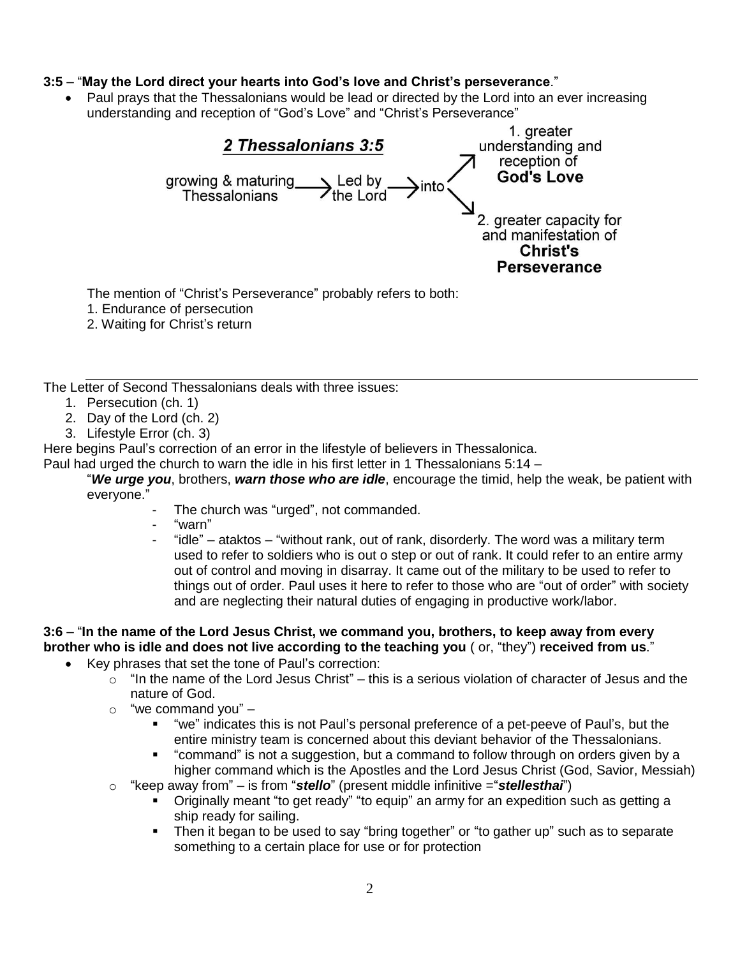## **3:5** – "**May the Lord direct your hearts into God's love and Christ's perseverance**."

 Paul prays that the Thessalonians would be lead or directed by the Lord into an ever increasing understanding and reception of "God's Love" and "Christ's Perseverance"



The mention of "Christ's Perseverance" probably refers to both:

- 1. Endurance of persecution
- 2. Waiting for Christ's return

The Letter of Second Thessalonians deals with three issues:

- 1. Persecution (ch. 1)
- 2. Day of the Lord (ch. 2)
- 3. Lifestyle Error (ch. 3)

Here begins Paul's correction of an error in the lifestyle of believers in Thessalonica.

Paul had urged the church to warn the idle in his first letter in 1 Thessalonians 5:14 –

"*We urge you*, brothers, *warn those who are idle*, encourage the timid, help the weak, be patient with everyone."

- The church was "urged", not commanded.
	- "warn"
	- "idle" ataktos "without rank, out of rank, disorderly. The word was a military term used to refer to soldiers who is out o step or out of rank. It could refer to an entire army out of control and moving in disarray. It came out of the military to be used to refer to things out of order. Paul uses it here to refer to those who are "out of order" with society and are neglecting their natural duties of engaging in productive work/labor.

# **3:6** – "**In the name of the Lord Jesus Christ, we command you, brothers, to keep away from every brother who is idle and does not live according to the teaching you** ( or, "they") **received from us**."

- Key phrases that set the tone of Paul's correction:
	- $\circ$  "In the name of the Lord Jesus Christ" this is a serious violation of character of Jesus and the nature of God.
	- $\circ$  "we command you"
		- "we" indicates this is not Paul's personal preference of a pet-peeve of Paul's, but the entire ministry team is concerned about this deviant behavior of the Thessalonians.
		- "command" is not a suggestion, but a command to follow through on orders given by a higher command which is the Apostles and the Lord Jesus Christ (God, Savior, Messiah)
	- o "keep away from" is from "*stello*" (present middle infinitive ="*stellesthai*")
		- Originally meant "to get ready" "to equip" an army for an expedition such as getting a ship ready for sailing.
		- Then it began to be used to say "bring together" or "to gather up" such as to separate something to a certain place for use or for protection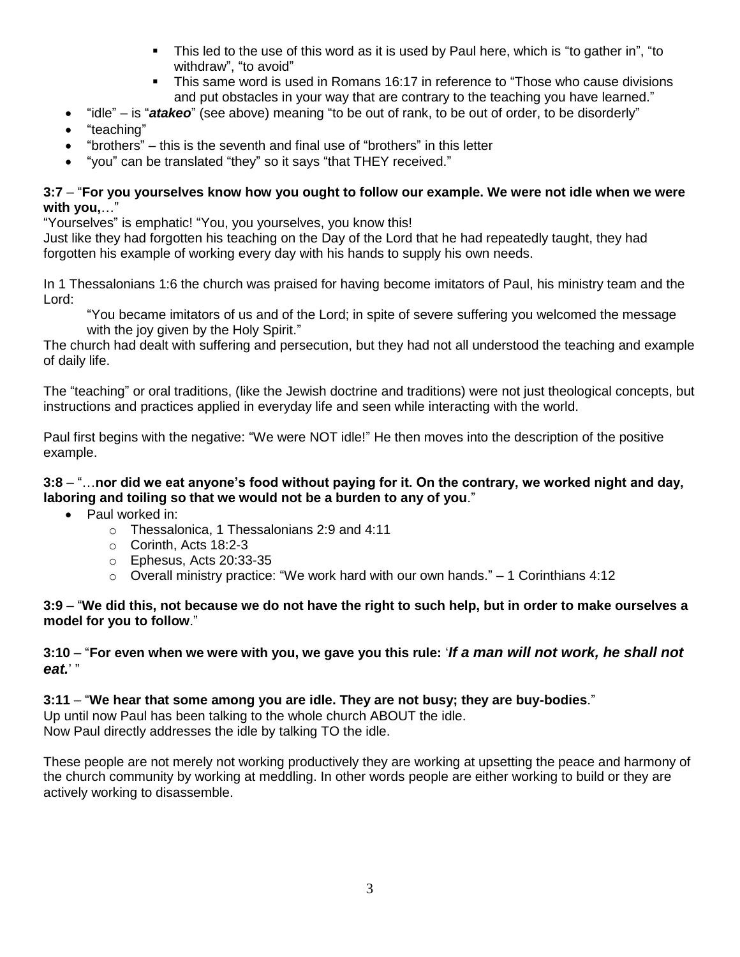- This led to the use of this word as it is used by Paul here, which is "to gather in", "to withdraw", "to avoid"
- This same word is used in Romans 16:17 in reference to "Those who cause divisions and put obstacles in your way that are contrary to the teaching you have learned."
- "idle" is "*atakeo*" (see above) meaning "to be out of rank, to be out of order, to be disorderly"
- "teaching"
- "brothers" this is the seventh and final use of "brothers" in this letter
- "you" can be translated "they" so it says "that THEY received."

## **3:7** – "**For you yourselves know how you ought to follow our example. We were not idle when we were with you,**…"

"Yourselves" is emphatic! "You, you yourselves, you know this!

Just like they had forgotten his teaching on the Day of the Lord that he had repeatedly taught, they had forgotten his example of working every day with his hands to supply his own needs.

In 1 Thessalonians 1:6 the church was praised for having become imitators of Paul, his ministry team and the Lord:

"You became imitators of us and of the Lord; in spite of severe suffering you welcomed the message with the joy given by the Holy Spirit."

The church had dealt with suffering and persecution, but they had not all understood the teaching and example of daily life.

The "teaching" or oral traditions, (like the Jewish doctrine and traditions) were not just theological concepts, but instructions and practices applied in everyday life and seen while interacting with the world.

Paul first begins with the negative: "We were NOT idle!" He then moves into the description of the positive example.

# **3:8** – "…**nor did we eat anyone's food without paying for it. On the contrary, we worked night and day, laboring and toiling so that we would not be a burden to any of you**."

- Paul worked in:
	- o Thessalonica, 1 Thessalonians 2:9 and 4:11
	- o Corinth, Acts 18:2-3
	- o Ephesus, Acts 20:33-35
	- $\circ$  Overall ministry practice: "We work hard with our own hands." 1 Corinthians 4:12

#### **3:9** – "**We did this, not because we do not have the right to such help, but in order to make ourselves a model for you to follow**."

## **3:10** – "**For even when we were with you, we gave you this rule:** '*If a man will not work, he shall not eat.*' "

# **3:11** – "**We hear that some among you are idle. They are not busy; they are buy-bodies**."

Up until now Paul has been talking to the whole church ABOUT the idle. Now Paul directly addresses the idle by talking TO the idle.

These people are not merely not working productively they are working at upsetting the peace and harmony of the church community by working at meddling. In other words people are either working to build or they are actively working to disassemble.